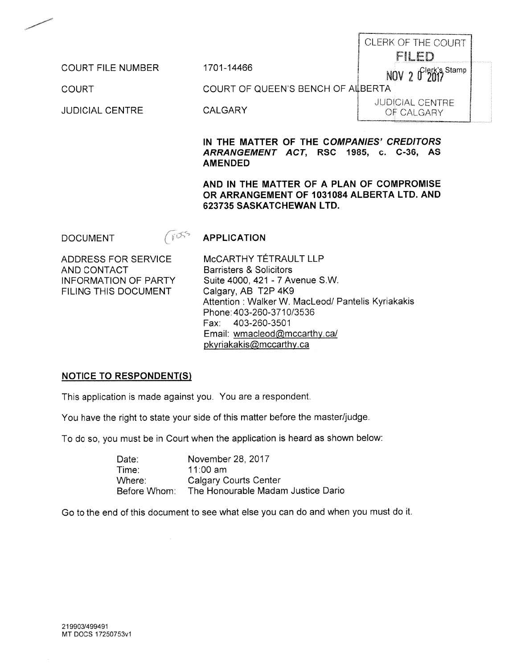|                          |                                   | CLERK OF THE COURT                   |
|--------------------------|-----------------------------------|--------------------------------------|
|                          |                                   | gama pro<br>Sexs R B                 |
| <b>COURT FILE NUMBER</b> | 1701-14466                        | $N0V$ 2 $0^{left's\$                 |
| COURT                    | COURT OF QUEEN'S BENCH OF ALBERTA |                                      |
| <b>JUDICIAL CENTRE</b>   | CALGARY                           | <b>JUDICIAL CENTRE</b><br>OF CALGARY |

## IN THE MATTER OF THE COMPANIES' CREDITORS ARRANGEMENT ACT, RSC 1985, c. C-36, AS **AMENDED**

## AND IN THE MATTER OF A PLAN OF COMPROMISE OR ARRANGEMENT OF 1031084 ALBERTA LTD. AND 623735 SASKATCHEWAN LTD.

 $(105)$ **APPLICATION DOCUMENT** 

ADDRESS FOR SERVICE AND CONTACT **INFORMATION OF PARTY** FILING THIS DOCUMENT

MCCARTHY TÉTRAULT LLP **Barristers & Solicitors** Suite 4000, 421 - 7 Avenue S.W. Calgary, AB T2P 4K9 Attention: Walker W. MacLeod/ Pantelis Kyriakakis Phone: 403-260-3710/3536 403-260-3501 Fax: Email: wmacleod@mccarthy.ca/ pkyriakakis@mccarthy.ca

#### **NOTICE TO RESPONDENT(S)**

This application is made against you. You are a respondent.

You have the right to state your side of this matter before the master/judge.

To do so, you must be in Court when the application is heard as shown below:

Date: November 28, 2017 11:00 am Time: Where: **Calgary Courts Center** The Honourable Madam Justice Dario Before Whom:

Go to the end of this document to see what else you can do and when you must do it.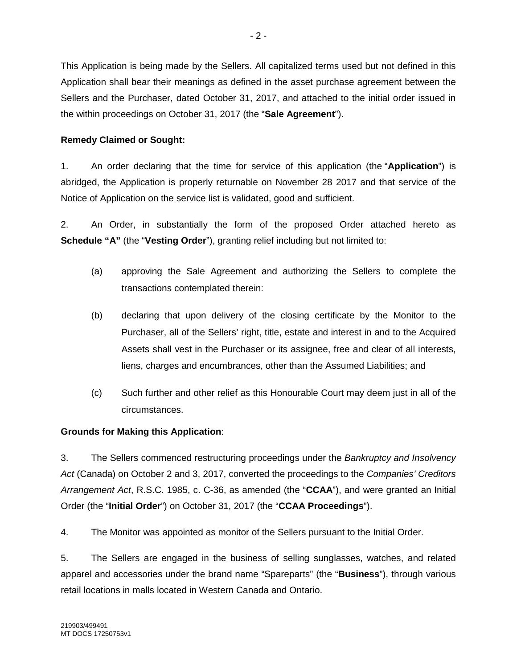This Application is being made by the Sellers. All capitalized terms used but not defined in this Application shall bear their meanings as defined in the asset purchase agreement between the Sellers and the Purchaser, dated October 31, 2017, and attached to the initial order issued in the within proceedings on October 31, 2017 (the "**Sale Agreement**").

# **Remedy Claimed or Sought:**

1. An order declaring that the time for service of this application (the "**Application**") is abridged, the Application is properly returnable on November 28 2017 and that service of the Notice of Application on the service list is validated, good and sufficient.

2. An Order, in substantially the form of the proposed Order attached hereto as **Schedule "A"** (the "**Vesting Order**"), granting relief including but not limited to:

- (a) approving the Sale Agreement and authorizing the Sellers to complete the transactions contemplated therein:
- (b) declaring that upon delivery of the closing certificate by the Monitor to the Purchaser, all of the Sellers' right, title, estate and interest in and to the Acquired Assets shall vest in the Purchaser or its assignee, free and clear of all interests, liens, charges and encumbrances, other than the Assumed Liabilities; and
- (c) Such further and other relief as this Honourable Court may deem just in all of the circumstances.

# **Grounds for Making this Application**:

3. The Sellers commenced restructuring proceedings under the *Bankruptcy and Insolvency Act* (Canada) on October 2 and 3, 2017, converted the proceedings to the *Companies' Creditors Arrangement Act*, R.S.C. 1985, c. C-36, as amended (the "**CCAA**"), and were granted an Initial Order (the "**Initial Order**") on October 31, 2017 (the "**CCAA Proceedings**").

4. The Monitor was appointed as monitor of the Sellers pursuant to the Initial Order.

5. The Sellers are engaged in the business of selling sunglasses, watches, and related apparel and accessories under the brand name "Spareparts" (the "**Business**"), through various retail locations in malls located in Western Canada and Ontario.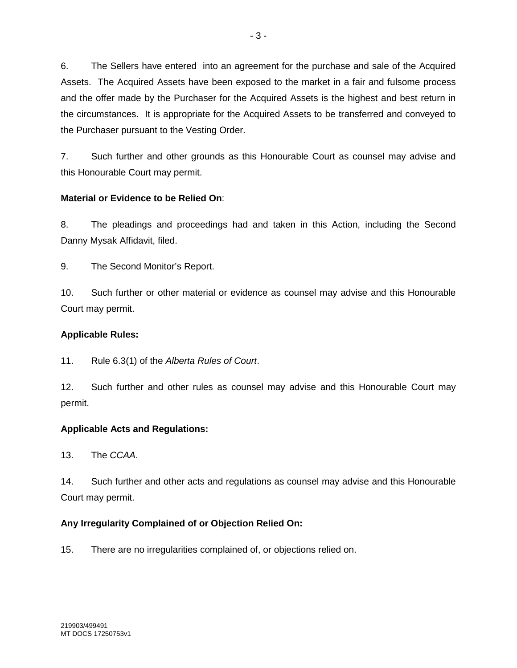6. The Sellers have entered into an agreement for the purchase and sale of the Acquired Assets. The Acquired Assets have been exposed to the market in a fair and fulsome process and the offer made by the Purchaser for the Acquired Assets is the highest and best return in the circumstances. It is appropriate for the Acquired Assets to be transferred and conveyed to the Purchaser pursuant to the Vesting Order.

7. Such further and other grounds as this Honourable Court as counsel may advise and this Honourable Court may permit.

# **Material or Evidence to be Relied On**:

8. The pleadings and proceedings had and taken in this Action, including the Second Danny Mysak Affidavit, filed.

9. The Second Monitor's Report.

10. Such further or other material or evidence as counsel may advise and this Honourable Court may permit.

# **Applicable Rules:**

11. Rule 6.3(1) of the *Alberta Rules of Court*.

12. Such further and other rules as counsel may advise and this Honourable Court may permit.

# **Applicable Acts and Regulations:**

13. The *CCAA*.

14. Such further and other acts and regulations as counsel may advise and this Honourable Court may permit.

# **Any Irregularity Complained of or Objection Relied On:**

15. There are no irregularities complained of, or objections relied on.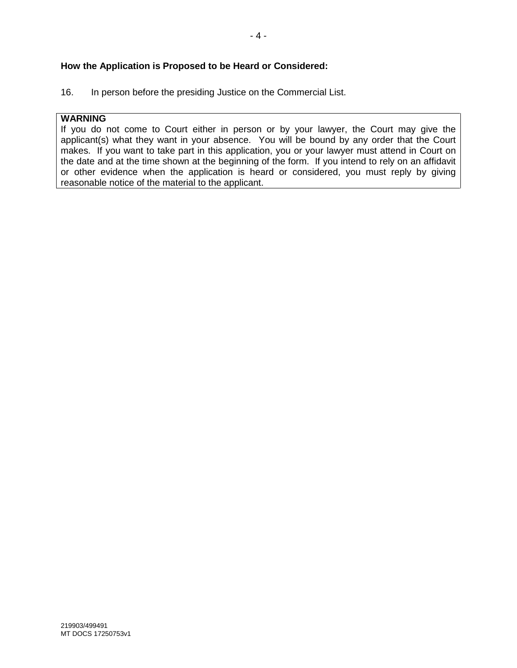## **How the Application is Proposed to be Heard or Considered:**

16. In person before the presiding Justice on the Commercial List.

## **WARNING**

If you do not come to Court either in person or by your lawyer, the Court may give the applicant(s) what they want in your absence. You will be bound by any order that the Court makes. If you want to take part in this application, you or your lawyer must attend in Court on the date and at the time shown at the beginning of the form. If you intend to rely on an affidavit or other evidence when the application is heard or considered, you must reply by giving reasonable notice of the material to the applicant.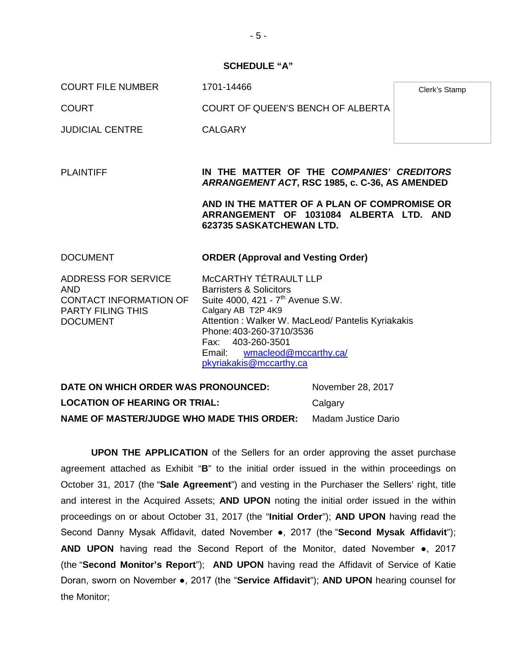#### **SCHEDULE "A"**

COURT FILE NUMBER 1701-14466

COURT COURT OF QUEEN'S BENCH OF ALBERTA

JUDICIAL CENTRE CALGARY

PLAINTIFF **IN THE MATTER OF THE C***OMPANIES' CREDITORS ARRANGEMENT ACT***, RSC 1985, c. C-36, AS AMENDED**

> **AND IN THE MATTER OF A PLAN OF COMPROMISE OR ARRANGEMENT OF 1031084 ALBERTA LTD. AND 623735 SASKATCHEWAN LTD.**

| <b>DOCUMENT</b>            | <b>ORDER (Approval and Vesting Order)</b>         |
|----------------------------|---------------------------------------------------|
| <b>ADDRESS FOR SERVICE</b> | MCCARTHY TÉTRAULT LLP                             |
| AND                        | <b>Barristers &amp; Solicitors</b>                |
| CONTACT INFORMATION OF     | Suite 4000, 421 - 7 <sup>th</sup> Avenue S.W.     |
| <b>PARTY FILING THIS</b>   | Calgary AB T2P 4K9                                |
| <b>DOCUMENT</b>            | Attention: Walker W. MacLeod/ Pantelis Kyriakakis |
|                            | Phone: 403-260-3710/3536                          |
|                            | Fax: 403-260-3501                                 |
|                            | Email: wmacleod@mccarthy.ca/                      |
|                            | pkyriakakis@mccarthy.ca                           |

**DATE ON WHICH ORDER WAS PRONOUNCED:** November 28, 2017 **LOCATION OF HEARING OR TRIAL:** Calgary **NAME OF MASTER/JUDGE WHO MADE THIS ORDER:** Madam Justice Dario

**UPON THE APPLICATION** of the Sellers for an order approving the asset purchase agreement attached as Exhibit "**B**" to the initial order issued in the within proceedings on October 31, 2017 (the "**Sale Agreement**") and vesting in the Purchaser the Sellers' right, title and interest in the Acquired Assets; **AND UPON** noting the initial order issued in the within proceedings on or about October 31, 2017 (the "**Initial Order**"); **AND UPON** having read the Second Danny Mysak Affidavit, dated November ●, 2017 (the "**Second Mysak Affidavit**"); **AND UPON** having read the Second Report of the Monitor, dated November ●, 2017 (the "**Second Monitor's Report**"); **AND UPON** having read the Affidavit of Service of Katie Doran, sworn on November ●, 2017 (the "**Service Affidavit**"); **AND UPON** hearing counsel for the Monitor;

Clerk's Stamp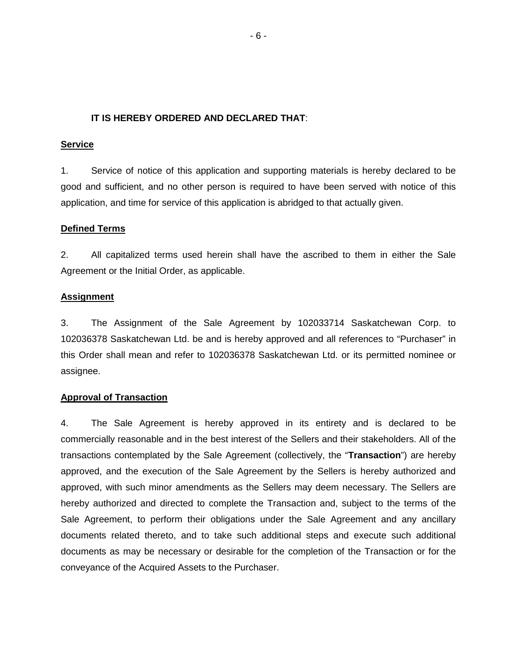## **IT IS HEREBY ORDERED AND DECLARED THAT**:

#### **Service**

1. Service of notice of this application and supporting materials is hereby declared to be good and sufficient, and no other person is required to have been served with notice of this application, and time for service of this application is abridged to that actually given.

## **Defined Terms**

2. All capitalized terms used herein shall have the ascribed to them in either the Sale Agreement or the Initial Order, as applicable.

## **Assignment**

3. The Assignment of the Sale Agreement by 102033714 Saskatchewan Corp. to 102036378 Saskatchewan Ltd. be and is hereby approved and all references to "Purchaser" in this Order shall mean and refer to 102036378 Saskatchewan Ltd. or its permitted nominee or assignee.

#### **Approval of Transaction**

4. The Sale Agreement is hereby approved in its entirety and is declared to be commercially reasonable and in the best interest of the Sellers and their stakeholders. All of the transactions contemplated by the Sale Agreement (collectively, the "**Transaction**") are hereby approved, and the execution of the Sale Agreement by the Sellers is hereby authorized and approved, with such minor amendments as the Sellers may deem necessary. The Sellers are hereby authorized and directed to complete the Transaction and, subject to the terms of the Sale Agreement, to perform their obligations under the Sale Agreement and any ancillary documents related thereto, and to take such additional steps and execute such additional documents as may be necessary or desirable for the completion of the Transaction or for the conveyance of the Acquired Assets to the Purchaser.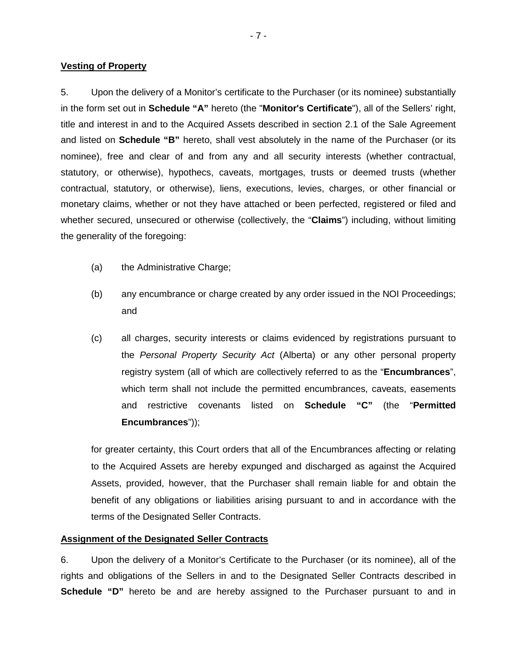#### **Vesting of Property**

5. Upon the delivery of a Monitor's certificate to the Purchaser (or its nominee) substantially in the form set out in **Schedule "A"** hereto (the "**Monitor's Certificate**"), all of the Sellers' right, title and interest in and to the Acquired Assets described in section 2.1 of the Sale Agreement and listed on **Schedule "B"** hereto, shall vest absolutely in the name of the Purchaser (or its nominee), free and clear of and from any and all security interests (whether contractual, statutory, or otherwise), hypothecs, caveats, mortgages, trusts or deemed trusts (whether contractual, statutory, or otherwise), liens, executions, levies, charges, or other financial or monetary claims, whether or not they have attached or been perfected, registered or filed and whether secured, unsecured or otherwise (collectively, the "**Claims**") including, without limiting the generality of the foregoing:

- (a) the Administrative Charge;
- (b) any encumbrance or charge created by any order issued in the NOI Proceedings; and
- (c) all charges, security interests or claims evidenced by registrations pursuant to the *Personal Property Security Act* (Alberta) or any other personal property registry system (all of which are collectively referred to as the "**Encumbrances**", which term shall not include the permitted encumbrances, caveats, easements and restrictive covenants listed on **Schedule "C"** (the "**Permitted Encumbrances**"));

for greater certainty, this Court orders that all of the Encumbrances affecting or relating to the Acquired Assets are hereby expunged and discharged as against the Acquired Assets, provided, however, that the Purchaser shall remain liable for and obtain the benefit of any obligations or liabilities arising pursuant to and in accordance with the terms of the Designated Seller Contracts.

## **Assignment of the Designated Seller Contracts**

6. Upon the delivery of a Monitor's Certificate to the Purchaser (or its nominee), all of the rights and obligations of the Sellers in and to the Designated Seller Contracts described in **Schedule "D"** hereto be and are hereby assigned to the Purchaser pursuant to and in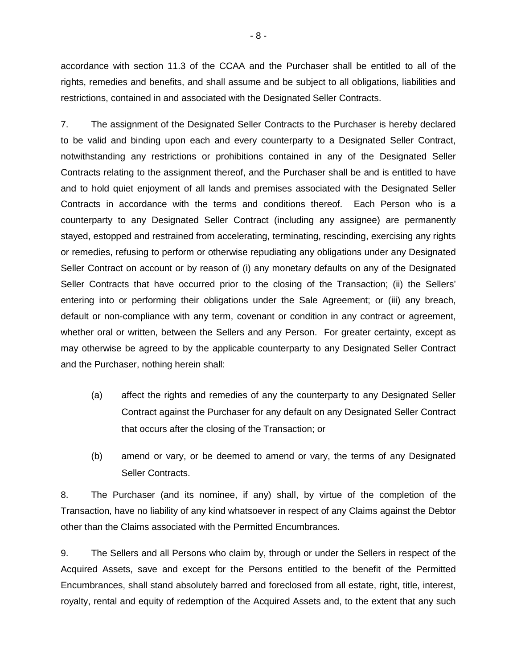accordance with section 11.3 of the CCAA and the Purchaser shall be entitled to all of the rights, remedies and benefits, and shall assume and be subject to all obligations, liabilities and restrictions, contained in and associated with the Designated Seller Contracts.

7. The assignment of the Designated Seller Contracts to the Purchaser is hereby declared to be valid and binding upon each and every counterparty to a Designated Seller Contract, notwithstanding any restrictions or prohibitions contained in any of the Designated Seller Contracts relating to the assignment thereof, and the Purchaser shall be and is entitled to have and to hold quiet enjoyment of all lands and premises associated with the Designated Seller Contracts in accordance with the terms and conditions thereof. Each Person who is a counterparty to any Designated Seller Contract (including any assignee) are permanently stayed, estopped and restrained from accelerating, terminating, rescinding, exercising any rights or remedies, refusing to perform or otherwise repudiating any obligations under any Designated Seller Contract on account or by reason of (i) any monetary defaults on any of the Designated Seller Contracts that have occurred prior to the closing of the Transaction; (ii) the Sellers' entering into or performing their obligations under the Sale Agreement; or (iii) any breach, default or non-compliance with any term, covenant or condition in any contract or agreement, whether oral or written, between the Sellers and any Person. For greater certainty, except as may otherwise be agreed to by the applicable counterparty to any Designated Seller Contract and the Purchaser, nothing herein shall:

- (a) affect the rights and remedies of any the counterparty to any Designated Seller Contract against the Purchaser for any default on any Designated Seller Contract that occurs after the closing of the Transaction; or
- (b) amend or vary, or be deemed to amend or vary, the terms of any Designated Seller Contracts.

8. The Purchaser (and its nominee, if any) shall, by virtue of the completion of the Transaction, have no liability of any kind whatsoever in respect of any Claims against the Debtor other than the Claims associated with the Permitted Encumbrances.

9. The Sellers and all Persons who claim by, through or under the Sellers in respect of the Acquired Assets, save and except for the Persons entitled to the benefit of the Permitted Encumbrances, shall stand absolutely barred and foreclosed from all estate, right, title, interest, royalty, rental and equity of redemption of the Acquired Assets and, to the extent that any such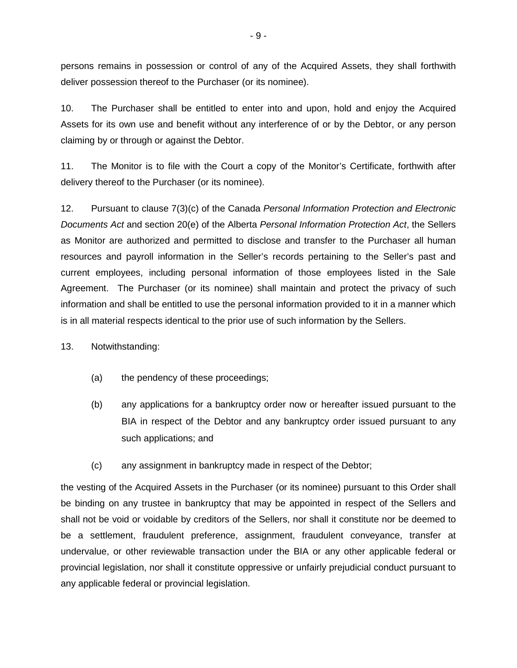persons remains in possession or control of any of the Acquired Assets, they shall forthwith deliver possession thereof to the Purchaser (or its nominee).

10. The Purchaser shall be entitled to enter into and upon, hold and enjoy the Acquired Assets for its own use and benefit without any interference of or by the Debtor, or any person claiming by or through or against the Debtor.

11. The Monitor is to file with the Court a copy of the Monitor's Certificate, forthwith after delivery thereof to the Purchaser (or its nominee).

12. Pursuant to clause 7(3)(c) of the Canada *Personal Information Protection and Electronic Documents Act* and section 20(e) of the Alberta *Personal Information Protection Act*, the Sellers as Monitor are authorized and permitted to disclose and transfer to the Purchaser all human resources and payroll information in the Seller's records pertaining to the Seller's past and current employees, including personal information of those employees listed in the Sale Agreement. The Purchaser (or its nominee) shall maintain and protect the privacy of such information and shall be entitled to use the personal information provided to it in a manner which is in all material respects identical to the prior use of such information by the Sellers.

13. Notwithstanding:

- (a) the pendency of these proceedings;
- (b) any applications for a bankruptcy order now or hereafter issued pursuant to the BIA in respect of the Debtor and any bankruptcy order issued pursuant to any such applications; and
- (c) any assignment in bankruptcy made in respect of the Debtor;

the vesting of the Acquired Assets in the Purchaser (or its nominee) pursuant to this Order shall be binding on any trustee in bankruptcy that may be appointed in respect of the Sellers and shall not be void or voidable by creditors of the Sellers, nor shall it constitute nor be deemed to be a settlement, fraudulent preference, assignment, fraudulent conveyance, transfer at undervalue, or other reviewable transaction under the BIA or any other applicable federal or provincial legislation, nor shall it constitute oppressive or unfairly prejudicial conduct pursuant to any applicable federal or provincial legislation.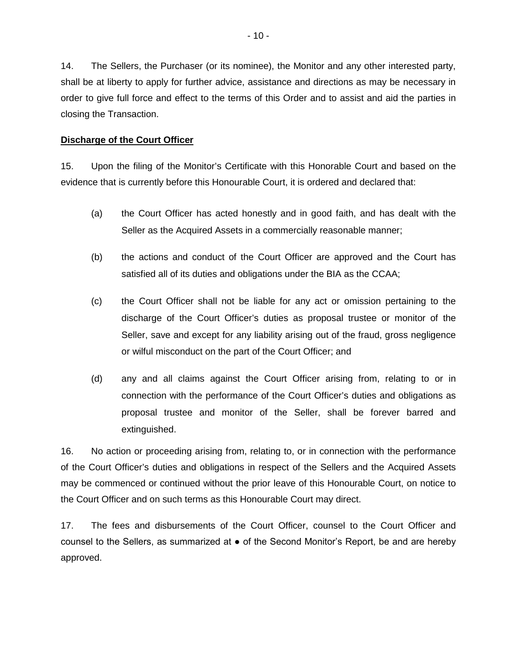14. The Sellers, the Purchaser (or its nominee), the Monitor and any other interested party, shall be at liberty to apply for further advice, assistance and directions as may be necessary in order to give full force and effect to the terms of this Order and to assist and aid the parties in closing the Transaction.

#### **Discharge of the Court Officer**

15. Upon the filing of the Monitor's Certificate with this Honorable Court and based on the evidence that is currently before this Honourable Court, it is ordered and declared that:

- (a) the Court Officer has acted honestly and in good faith, and has dealt with the Seller as the Acquired Assets in a commercially reasonable manner;
- (b) the actions and conduct of the Court Officer are approved and the Court has satisfied all of its duties and obligations under the BIA as the CCAA;
- (c) the Court Officer shall not be liable for any act or omission pertaining to the discharge of the Court Officer's duties as proposal trustee or monitor of the Seller, save and except for any liability arising out of the fraud, gross negligence or wilful misconduct on the part of the Court Officer; and
- (d) any and all claims against the Court Officer arising from, relating to or in connection with the performance of the Court Officer's duties and obligations as proposal trustee and monitor of the Seller, shall be forever barred and extinguished.

16. No action or proceeding arising from, relating to, or in connection with the performance of the Court Officer's duties and obligations in respect of the Sellers and the Acquired Assets may be commenced or continued without the prior leave of this Honourable Court, on notice to the Court Officer and on such terms as this Honourable Court may direct.

17. The fees and disbursements of the Court Officer, counsel to the Court Officer and counsel to the Sellers, as summarized at  $\bullet$  of the Second Monitor's Report, be and are hereby approved.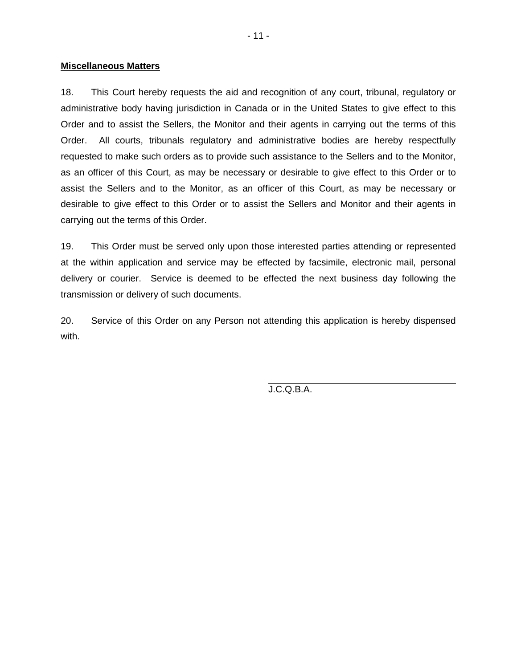#### **Miscellaneous Matters**

18. This Court hereby requests the aid and recognition of any court, tribunal, regulatory or administrative body having jurisdiction in Canada or in the United States to give effect to this Order and to assist the Sellers, the Monitor and their agents in carrying out the terms of this Order. All courts, tribunals regulatory and administrative bodies are hereby respectfully requested to make such orders as to provide such assistance to the Sellers and to the Monitor, as an officer of this Court, as may be necessary or desirable to give effect to this Order or to assist the Sellers and to the Monitor, as an officer of this Court, as may be necessary or desirable to give effect to this Order or to assist the Sellers and Monitor and their agents in carrying out the terms of this Order.

19. This Order must be served only upon those interested parties attending or represented at the within application and service may be effected by facsimile, electronic mail, personal delivery or courier. Service is deemed to be effected the next business day following the transmission or delivery of such documents.

20. Service of this Order on any Person not attending this application is hereby dispensed with.

J.C.Q.B.A.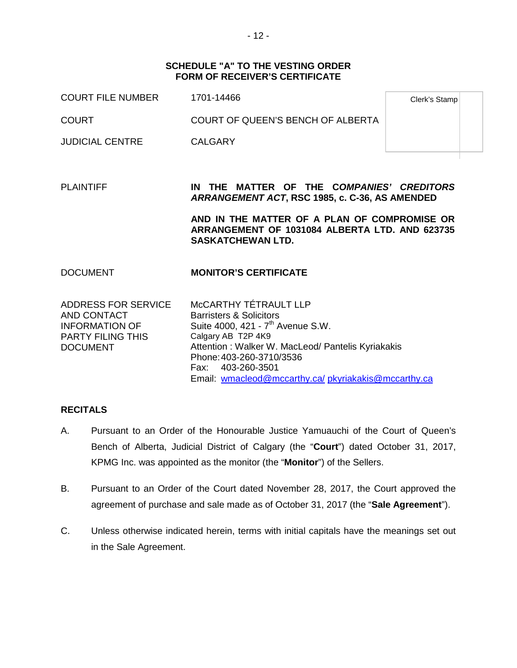#### **SCHEDULE "A" TO THE VESTING ORDER FORM OF RECEIVER'S CERTIFICATE**

| <b>COURT FILE NUMBER</b>                                                                                   | 1701-14466                                                                                                                                                                                                                                                                                      | Clerk's Stamp |
|------------------------------------------------------------------------------------------------------------|-------------------------------------------------------------------------------------------------------------------------------------------------------------------------------------------------------------------------------------------------------------------------------------------------|---------------|
| <b>COURT</b>                                                                                               | COURT OF QUEEN'S BENCH OF ALBERTA                                                                                                                                                                                                                                                               |               |
| <b>JUDICIAL CENTRE</b>                                                                                     | <b>CALGARY</b>                                                                                                                                                                                                                                                                                  |               |
|                                                                                                            |                                                                                                                                                                                                                                                                                                 |               |
| <b>PLAINTIFF</b>                                                                                           | IN THE MATTER OF THE COMPANIES' CREDITORS<br>ARRANGEMENT ACT, RSC 1985, c. C-36, AS AMENDED                                                                                                                                                                                                     |               |
|                                                                                                            | AND IN THE MATTER OF A PLAN OF COMPROMISE OR<br>ARRANGEMENT OF 1031084 ALBERTA LTD. AND 623735<br><b>SASKATCHEWAN LTD.</b>                                                                                                                                                                      |               |
| <b>DOCUMENT</b>                                                                                            | <b>MONITOR'S CERTIFICATE</b>                                                                                                                                                                                                                                                                    |               |
| ADDRESS FOR SERVICE<br>AND CONTACT<br><b>INFORMATION OF</b><br><b>PARTY FILING THIS</b><br><b>DOCUMENT</b> | MCCARTHY TÉTRAULT LLP<br><b>Barristers &amp; Solicitors</b><br>Suite 4000, 421 - 7 <sup>th</sup> Avenue S.W.<br>Calgary AB T2P 4K9<br>Attention: Walker W. MacLeod/ Pantelis Kyriakakis<br>Phone: 403-260-3710/3536<br>Fax: 403-260-3501<br>Email: wmacleod@mccarthy.ca/pkyriakakis@mccarthy.ca |               |

## **RECITALS**

- A. Pursuant to an Order of the Honourable Justice Yamuauchi of the Court of Queen's Bench of Alberta, Judicial District of Calgary (the "**Court**") dated October 31, 2017, KPMG Inc. was appointed as the monitor (the "**Monitor**") of the Sellers.
- B. Pursuant to an Order of the Court dated November 28, 2017, the Court approved the agreement of purchase and sale made as of October 31, 2017 (the "**Sale Agreement**").
- C. Unless otherwise indicated herein, terms with initial capitals have the meanings set out in the Sale Agreement.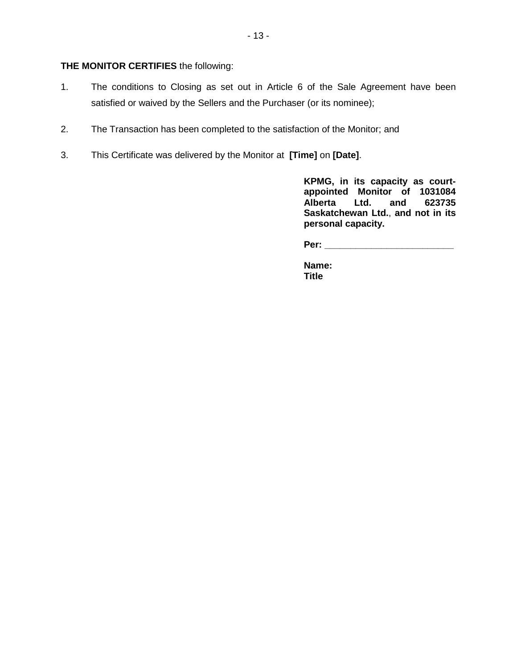## **THE MONITOR CERTIFIES** the following:

- 1. The conditions to Closing as set out in Article 6 of the Sale Agreement have been satisfied or waived by the Sellers and the Purchaser (or its nominee);
- 2. The Transaction has been completed to the satisfaction of the Monitor; and
- 3. This Certificate was delivered by the Monitor at **[Time]** on **[Date]**.

**KPMG, in its capacity as courtappointed Monitor of 1031084 Alberta Ltd. and 623735 Saskatchewan Ltd.**, **and not in its personal capacity.**

**Per: \_\_\_\_\_\_\_\_\_\_\_\_\_\_\_\_\_\_\_\_\_\_\_\_\_**

**Name: Title**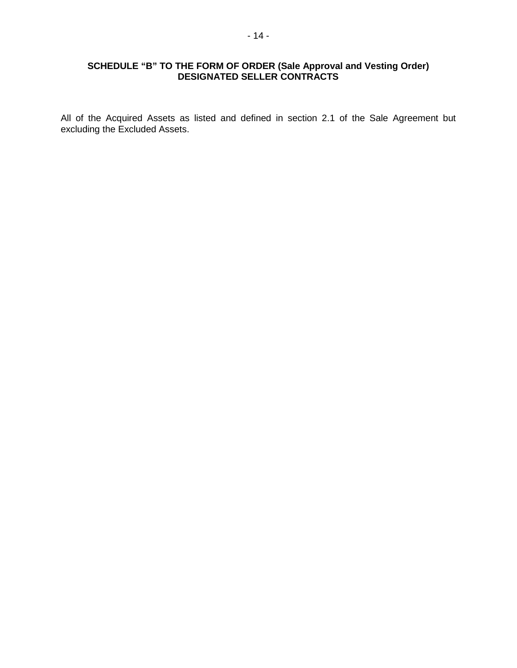## **SCHEDULE "B" TO THE FORM OF ORDER (Sale Approval and Vesting Order) DESIGNATED SELLER CONTRACTS**

All of the Acquired Assets as listed and defined in section 2.1 of the Sale Agreement but excluding the Excluded Assets.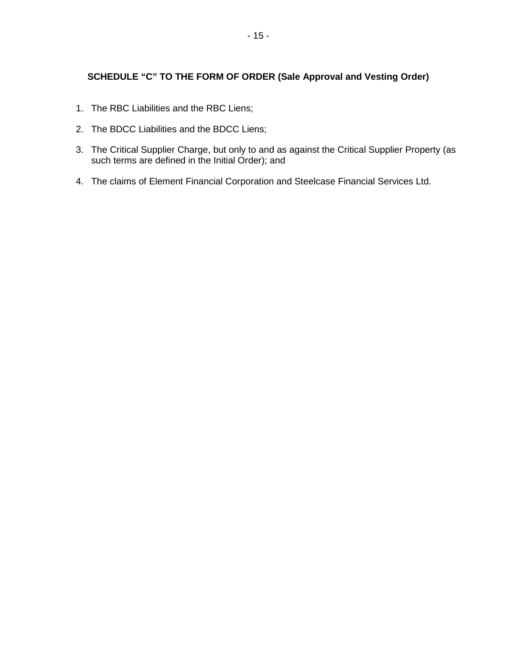# **SCHEDULE "C" TO THE FORM OF ORDER (Sale Approval and Vesting Order)**

- 1. The RBC Liabilities and the RBC Liens;
- 2. The BDCC Liabilities and the BDCC Liens;
- 3. The Critical Supplier Charge, but only to and as against the Critical Supplier Property (as such terms are defined in the Initial Order); and
- 4. The claims of Element Financial Corporation and Steelcase Financial Services Ltd.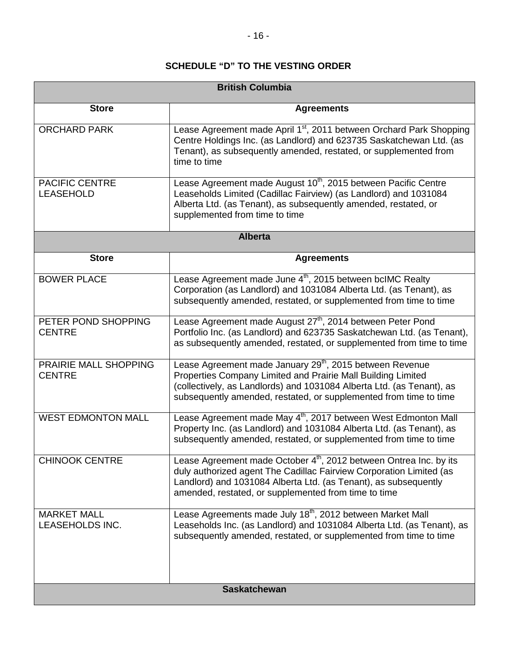# **SCHEDULE "D" TO THE VESTING ORDER**

| <b>British Columbia</b>                   |                                                                                                                                                                                                                                                                                    |  |
|-------------------------------------------|------------------------------------------------------------------------------------------------------------------------------------------------------------------------------------------------------------------------------------------------------------------------------------|--|
| <b>Store</b>                              | <b>Agreements</b>                                                                                                                                                                                                                                                                  |  |
| <b>ORCHARD PARK</b>                       | Lease Agreement made April 1 <sup>st</sup> , 2011 between Orchard Park Shopping<br>Centre Holdings Inc. (as Landlord) and 623735 Saskatchewan Ltd. (as<br>Tenant), as subsequently amended, restated, or supplemented from<br>time to time                                         |  |
| <b>PACIFIC CENTRE</b><br><b>LEASEHOLD</b> | Lease Agreement made August 10 <sup>th</sup> , 2015 between Pacific Centre<br>Leaseholds Limited (Cadillac Fairview) (as Landlord) and 1031084<br>Alberta Ltd. (as Tenant), as subsequently amended, restated, or<br>supplemented from time to time                                |  |
| <b>Alberta</b>                            |                                                                                                                                                                                                                                                                                    |  |
| <b>Store</b>                              | <b>Agreements</b>                                                                                                                                                                                                                                                                  |  |
| <b>BOWER PLACE</b>                        | Lease Agreement made June 4 <sup>th</sup> , 2015 between bcIMC Realty<br>Corporation (as Landlord) and 1031084 Alberta Ltd. (as Tenant), as<br>subsequently amended, restated, or supplemented from time to time                                                                   |  |
| PETER POND SHOPPING<br><b>CENTRE</b>      | Lease Agreement made August 27 <sup>th</sup> , 2014 between Peter Pond<br>Portfolio Inc. (as Landlord) and 623735 Saskatchewan Ltd. (as Tenant),<br>as subsequently amended, restated, or supplemented from time to time                                                           |  |
| PRAIRIE MALL SHOPPING<br><b>CENTRE</b>    | Lease Agreement made January 29 <sup>th</sup> , 2015 between Revenue<br>Properties Company Limited and Prairie Mall Building Limited<br>(collectively, as Landlords) and 1031084 Alberta Ltd. (as Tenant), as<br>subsequently amended, restated, or supplemented from time to time |  |
| <b>WEST EDMONTON MALL</b>                 | Lease Agreement made May 4 <sup>th</sup> , 2017 between West Edmonton Mall<br>Property Inc. (as Landlord) and 1031084 Alberta Ltd. (as Tenant), as<br>subsequently amended, restated, or supplemented from time to time                                                            |  |
| <b>CHINOOK CENTRE</b>                     | Lease Agreement made October $4th$ , 2012 between Ontrea Inc. by its<br>duly authorized agent The Cadillac Fairview Corporation Limited (as<br>Landlord) and 1031084 Alberta Ltd. (as Tenant), as subsequently<br>amended, restated, or supplemented from time to time             |  |
| <b>MARKET MALL</b><br>LEASEHOLDS INC.     | Lease Agreements made July 18 <sup>th</sup> , 2012 between Market Mall<br>Leaseholds Inc. (as Landlord) and 1031084 Alberta Ltd. (as Tenant), as<br>subsequently amended, restated, or supplemented from time to time                                                              |  |
| <b>Saskatchewan</b>                       |                                                                                                                                                                                                                                                                                    |  |